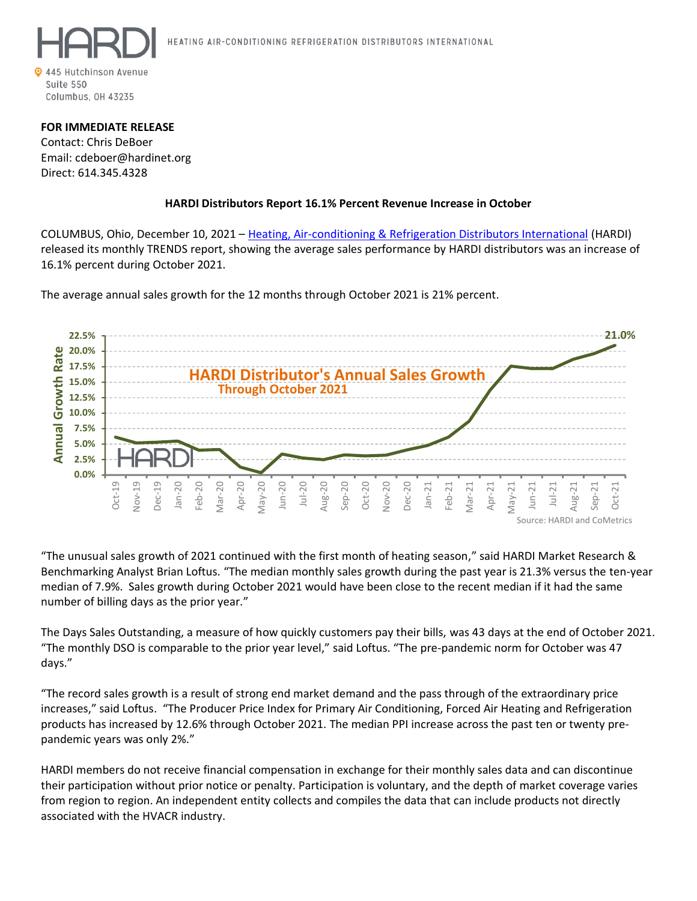

## **FOR IMMEDIATE RELEASE**

Contact: Chris DeBoer Email: cdeboer@hardinet.org Direct: 614.345.4328

## **HARDI Distributors Report 16.1% Percent Revenue Increase in October**

COLUMBUS, Ohio, December 10, 2021 – [Heating, Air-conditioning & Refrigeration Distributors International](https://hardinet.org/) (HARDI) released its monthly TRENDS report, showing the average sales performance by HARDI distributors was an increase of 16.1% percent during October 2021.

The average annual sales growth for the 12 months through October 2021 is 21% percent.



"The unusual sales growth of 2021 continued with the first month of heating season," said HARDI Market Research & Benchmarking Analyst Brian Loftus. "The median monthly sales growth during the past year is 21.3% versus the ten-year median of 7.9%. Sales growth during October 2021 would have been close to the recent median if it had the same number of billing days as the prior year."

The Days Sales Outstanding, a measure of how quickly customers pay their bills, was 43 days at the end of October 2021. "The monthly DSO is comparable to the prior year level," said Loftus. "The pre-pandemic norm for October was 47 days."

"The record sales growth is a result of strong end market demand and the pass through of the extraordinary price increases," said Loftus. "The Producer Price Index for Primary Air Conditioning, Forced Air Heating and Refrigeration products has increased by 12.6% through October 2021. The median PPI increase across the past ten or twenty prepandemic years was only 2%."

HARDI members do not receive financial compensation in exchange for their monthly sales data and can discontinue their participation without prior notice or penalty. Participation is voluntary, and the depth of market coverage varies from region to region. An independent entity collects and compiles the data that can include products not directly associated with the HVACR industry.